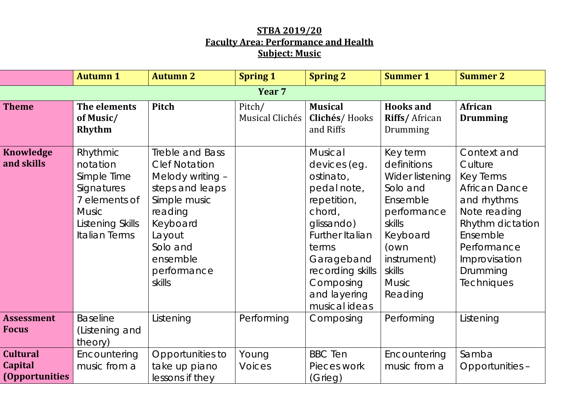## **STBA 2019/20 Faculty Area: Performance and Health Subject: Music**

|                                                            | <b>Autumn 1</b>                                                                                                         | <b>Autumn 2</b>                                                                                                                                                                  | <b>Spring 1</b>           | <b>Spring 2</b>                                                                                                                                                                                        | <b>Summer 1</b>                                                                                                                                                     | <b>Summer 2</b>                                                                                                                                                                                    |
|------------------------------------------------------------|-------------------------------------------------------------------------------------------------------------------------|----------------------------------------------------------------------------------------------------------------------------------------------------------------------------------|---------------------------|--------------------------------------------------------------------------------------------------------------------------------------------------------------------------------------------------------|---------------------------------------------------------------------------------------------------------------------------------------------------------------------|----------------------------------------------------------------------------------------------------------------------------------------------------------------------------------------------------|
|                                                            |                                                                                                                         |                                                                                                                                                                                  | Year <sub>7</sub>         |                                                                                                                                                                                                        |                                                                                                                                                                     |                                                                                                                                                                                                    |
| <b>Theme</b>                                               | The elements<br>of Music/<br>Rhythm                                                                                     | <b>Pitch</b>                                                                                                                                                                     | Pitch/<br>Musical Clichés | <b>Musical</b><br>Clichés/Hooks<br>and Riffs                                                                                                                                                           | <b>Hooks and</b><br>Riffs/African<br>Drumming                                                                                                                       | African<br><b>Drumming</b>                                                                                                                                                                         |
| <b>Knowledge</b><br>and skills                             | Rhythmic<br>notation<br>Simple Time<br>Signatures<br>7 elements of<br><b>Music</b><br>Listening Skills<br>Italian Terms | Treble and Bass<br><b>Clef Notation</b><br>Melody writing -<br>steps and leaps<br>Simple music<br>reading<br>Keyboard<br>Layout<br>Solo and<br>ensemble<br>performance<br>skills |                           | Musical<br>devices (eg.<br>ostinato,<br>pedal note,<br>repetition,<br>chord,<br>glissando)<br>Further Italian<br>terms<br>Garageband<br>recording skills<br>Composing<br>and layering<br>musical ideas | Key term<br>definitions<br>Wider listening<br>Solo and<br>Ensemble<br>performance<br>skills<br>Keyboard<br>(own<br>instrument)<br>skills<br><b>Music</b><br>Reading | Context and<br>Culture<br><b>Key Terms</b><br><b>African Dance</b><br>and rhythms<br>Note reading<br>Rhythm dictation<br>Ensemble<br>Performance<br>Improvisation<br>Drumming<br><b>Techniques</b> |
| <b>Assessment</b><br><b>Focus</b>                          | <b>Baseline</b><br>(Listening and<br>theory)                                                                            | Listening                                                                                                                                                                        | Performing                | Composing                                                                                                                                                                                              | Performing                                                                                                                                                          | Listening                                                                                                                                                                                          |
| <b>Cultural</b><br><b>Capital</b><br><i>(Opportunities</i> | Encountering<br>music from a                                                                                            | Opportunities to<br>take up piano<br>lessons if they                                                                                                                             | Young<br><b>Voices</b>    | <b>BBC</b> Ten<br>Pieces work<br>(Grieg)                                                                                                                                                               | Encountering<br>music from a                                                                                                                                        | Samba<br>Opportunities -                                                                                                                                                                           |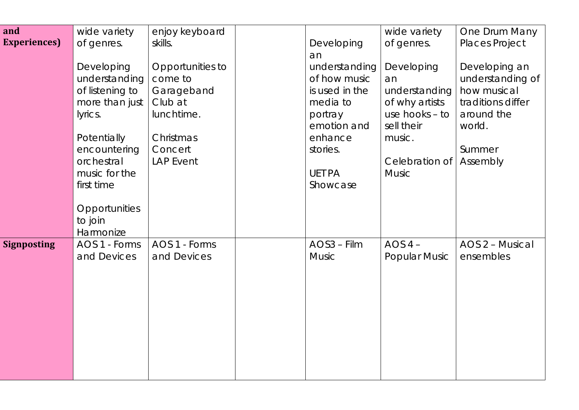| and                  | wide variety                                 | enjoy keyboard   |                        | wide variety                   | One Drum Many         |
|----------------------|----------------------------------------------|------------------|------------------------|--------------------------------|-----------------------|
| <b>Experiences</b> ) | of genres.                                   | skills.          | Developing             | of genres.                     | <b>Places Project</b> |
|                      |                                              |                  | an                     |                                |                       |
|                      | Developing                                   | Opportunities to | understanding          | Developing                     | Developing an         |
|                      | understanding                                | come to          | of how music           | an                             | understanding of      |
|                      | of listening to                              | Garageband       | is used in the         | understanding                  | how musical           |
|                      | more than just                               | Club at          | media to               | of why artists                 | traditions differ     |
|                      | lyrics.                                      | lunchtime.       | portray<br>emotion and | use hooks $-$ to<br>sell their | around the<br>world.  |
|                      | Potentially                                  | Christmas        | enhance                | music.                         |                       |
|                      | encountering                                 | Concert          | stories.               |                                | Summer                |
|                      | orchestral                                   | <b>LAP Event</b> |                        | Celebration of                 | Assembly              |
|                      | music for the                                |                  | <b>UET PA</b>          | <b>Music</b>                   |                       |
|                      | first time                                   |                  | Showcase               |                                |                       |
|                      | <b>Opportunities</b><br>to join<br>Harmonize |                  |                        |                                |                       |
| <b>Signposting</b>   | AOS 1 - Forms                                | AOS 1 - Forms    | AOS3 - Film            | $AOS 4 -$                      | AOS 2 - Musical       |
|                      | and Devices                                  | and Devices      | <b>Music</b>           | <b>Popular Music</b>           | ensembles             |
|                      |                                              |                  |                        |                                |                       |
|                      |                                              |                  |                        |                                |                       |
|                      |                                              |                  |                        |                                |                       |
|                      |                                              |                  |                        |                                |                       |
|                      |                                              |                  |                        |                                |                       |
|                      |                                              |                  |                        |                                |                       |
|                      |                                              |                  |                        |                                |                       |
|                      |                                              |                  |                        |                                |                       |
|                      |                                              |                  |                        |                                |                       |
|                      |                                              |                  |                        |                                |                       |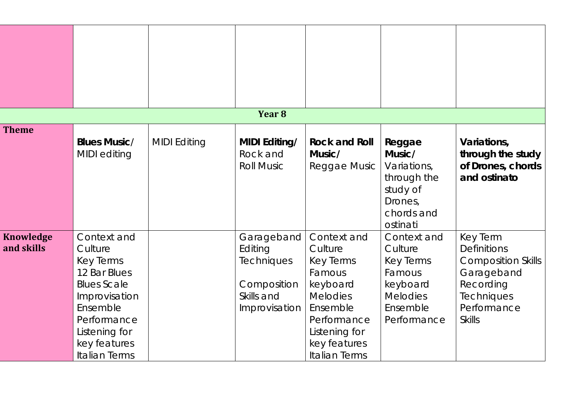|                                |                                                                                                                                                                                       |                     | Year <sub>8</sub>                                                                        |                                                                                                                                                                  |                                                                                                         |                                                                                                                                                    |
|--------------------------------|---------------------------------------------------------------------------------------------------------------------------------------------------------------------------------------|---------------------|------------------------------------------------------------------------------------------|------------------------------------------------------------------------------------------------------------------------------------------------------------------|---------------------------------------------------------------------------------------------------------|----------------------------------------------------------------------------------------------------------------------------------------------------|
| <b>Theme</b>                   | <b>Blues Music/</b><br>MIDI editing                                                                                                                                                   | <b>MIDI Editing</b> | <b>MIDI Editing/</b><br>Rock and<br><b>Roll Music</b>                                    | <b>Rock and Roll</b><br>Music/<br>Reggae Music                                                                                                                   | Reggae<br>Music/<br>Variations,<br>through the<br>study of<br>Drones,<br>chords and<br>ostinati         | Variations,<br>through the study<br>of Drones, chords<br>and ostinato                                                                              |
| <b>Knowledge</b><br>and skills | Context and<br>Culture<br><b>Key Terms</b><br>12 Bar Blues<br><b>Blues Scale</b><br>Improvisation<br>Ensemble<br>Performance<br>Listening for<br>key features<br><b>Italian Terms</b> |                     | Garageband<br>Editing<br><b>Techniques</b><br>Composition<br>Skills and<br>Improvisation | Context and<br>Culture<br><b>Key Terms</b><br>Famous<br>keyboard<br><b>Melodies</b><br>Ensemble<br>Performance<br>Listening for<br>key features<br>Italian Terms | Context and<br>Culture<br>Key Terms<br>Famous<br>keyboard<br><b>Melodies</b><br>Ensemble<br>Performance | <b>Key Term</b><br><b>Definitions</b><br><b>Composition Skills</b><br>Garageband<br>Recording<br><b>Techniques</b><br>Performance<br><b>Skills</b> |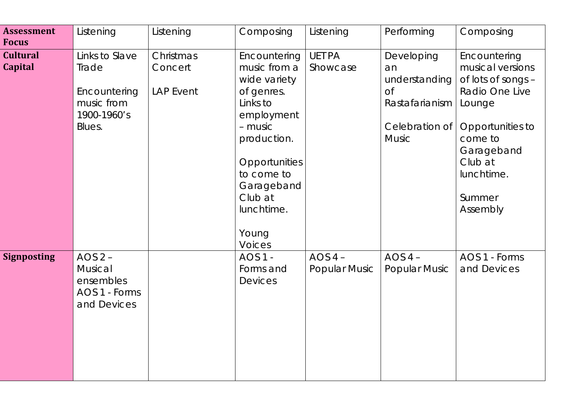| <b>Assessment</b><br><b>Focus</b> | Listening                                                                      | Listening                                | Composing                                                                                                                                                                                                      | Listening                         | Performing                                                                                         | Composing                                                                                                                                                                      |
|-----------------------------------|--------------------------------------------------------------------------------|------------------------------------------|----------------------------------------------------------------------------------------------------------------------------------------------------------------------------------------------------------------|-----------------------------------|----------------------------------------------------------------------------------------------------|--------------------------------------------------------------------------------------------------------------------------------------------------------------------------------|
| <b>Cultural</b><br><b>Capital</b> | Links to Slave<br>Trade<br>Encountering<br>music from<br>1900-1960's<br>Blues. | Christmas<br>Concert<br><b>LAP Event</b> | Encountering<br>music from a<br>wide variety<br>of genres.<br>Links to<br>employment<br>- music<br>production.<br>Opportunities<br>to come to<br>Garageband<br>Club at<br>lunchtime.<br>Young<br><b>Voices</b> | <b>UET PA</b><br>Showcase         | Developing<br>an<br>understanding<br><b>of</b><br>Rastafarianism<br>Celebration of<br><b>Music</b> | Encountering<br>musical versions<br>of lots of songs -<br>Radio One Live<br>Lounge<br>Opportunities to<br>come to<br>Garageband<br>Club at<br>lunchtime.<br>Summer<br>Assembly |
| <b>Signposting</b>                | AOS $2 -$<br>Musical<br>ensembles<br>AOS 1 - Forms<br>and Devices              |                                          | <b>AOS 1 -</b><br>Forms and<br><b>Devices</b>                                                                                                                                                                  | $AOS 4 -$<br><b>Popular Music</b> | AOS $4-$<br><b>Popular Music</b>                                                                   | AOS 1 - Forms<br>and Devices                                                                                                                                                   |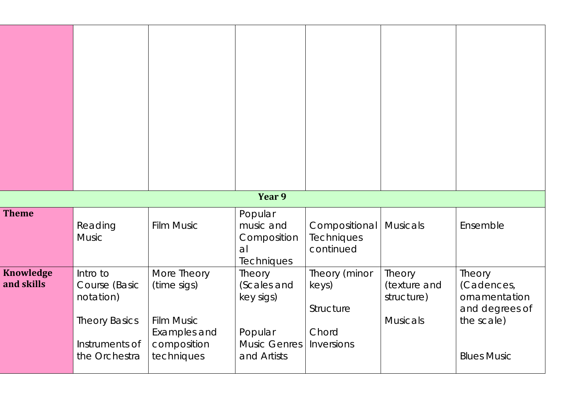|                                |                                                                                                   |                                                                                              | Year 9                                                                              |                                                            |                                                         |                                                                                             |
|--------------------------------|---------------------------------------------------------------------------------------------------|----------------------------------------------------------------------------------------------|-------------------------------------------------------------------------------------|------------------------------------------------------------|---------------------------------------------------------|---------------------------------------------------------------------------------------------|
| <b>Theme</b>                   | Reading<br><b>Music</b>                                                                           | <b>Film Music</b>                                                                            | Popular<br>music and<br>Composition<br>al<br><b>Techniques</b>                      | Compositional   Musicals<br>Techniques<br>continued        |                                                         | Ensemble                                                                                    |
| <b>Knowledge</b><br>and skills | Intro to<br>Course (Basic<br>notation)<br><b>Theory Basics</b><br>Instruments of<br>the Orchestra | More Theory<br>(time sigs)<br><b>Film Music</b><br>Examples and<br>composition<br>techniques | Theory<br>(Scales and<br>key sigs)<br>Popular<br><b>Music Genres</b><br>and Artists | Theory (minor<br>keys)<br>Structure<br>Chord<br>Inversions | Theory<br>(texture and<br>structure)<br><b>Musicals</b> | Theory<br>(Cadences,<br>ornamentation<br>and degrees of<br>the scale)<br><b>Blues Music</b> |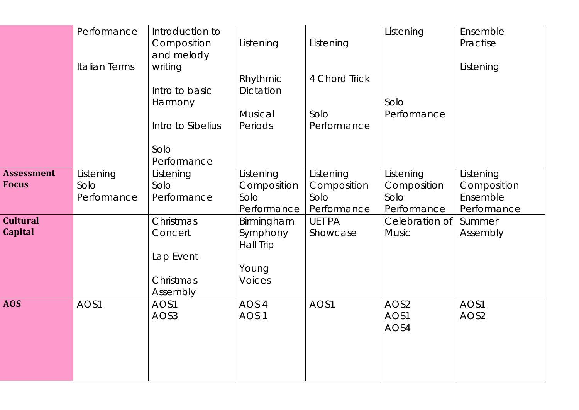|                   | Performance          | Introduction to<br>Composition | Listening                          | Listening                          | Listening                          | Ensemble<br>Practise                   |
|-------------------|----------------------|--------------------------------|------------------------------------|------------------------------------|------------------------------------|----------------------------------------|
|                   |                      | and melody                     |                                    |                                    |                                    |                                        |
|                   | <b>Italian Terms</b> | writing                        | Rhythmic                           | 4 Chord Trick                      |                                    | Listening                              |
|                   |                      | Intro to basic                 | Dictation                          |                                    |                                    |                                        |
|                   |                      | Harmony                        | Musical                            | Solo                               | Solo<br>Performance                |                                        |
|                   |                      | Intro to Sibelius              | Periods                            | Performance                        |                                    |                                        |
|                   |                      | Solo<br>Performance            |                                    |                                    |                                    |                                        |
| <b>Assessment</b> | Listening            | Listening                      | Listening                          | Listening                          | Listening                          | Listening                              |
| <b>Focus</b>      | Solo<br>Performance  | Solo<br>Performance            | Composition<br>Solo<br>Performance | Composition<br>Solo<br>Performance | Composition<br>Solo<br>Performance | Composition<br>Ensemble<br>Performance |
| <b>Cultural</b>   |                      | Christmas                      | Birmingham                         | <b>UET PA</b>                      | Celebration of                     | Summer                                 |
| <b>Capital</b>    |                      | Concert                        | Symphony<br>Hall Trip              | Showcase                           | <b>Music</b>                       | Assembly                               |
|                   |                      | Lap Event                      |                                    |                                    |                                    |                                        |
|                   |                      | Christmas                      | Young<br><b>Voices</b>             |                                    |                                    |                                        |
|                   |                      | Assembly                       |                                    |                                    |                                    |                                        |
| <b>AOS</b>        | AOS1                 | AOS1                           | AOS 4                              | AOS1                               | AOS <sub>2</sub>                   | AOS1                                   |
|                   |                      | AOS3                           | AOS <sub>1</sub>                   |                                    | AOS1<br>AOS4                       | AOS <sub>2</sub>                       |
|                   |                      |                                |                                    |                                    |                                    |                                        |
|                   |                      |                                |                                    |                                    |                                    |                                        |
|                   |                      |                                |                                    |                                    |                                    |                                        |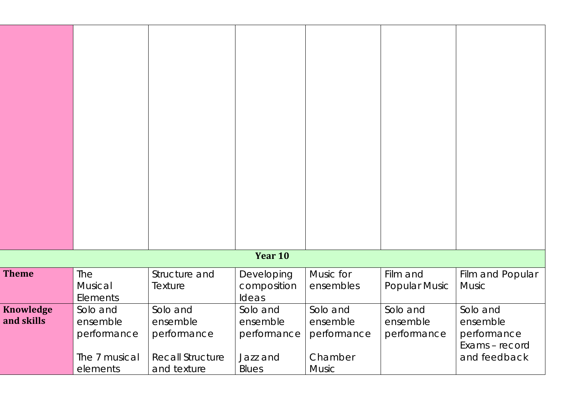|                                |                                                                  |                                                                               | Year 10                                                         |                                                                |                                     |                                                                       |
|--------------------------------|------------------------------------------------------------------|-------------------------------------------------------------------------------|-----------------------------------------------------------------|----------------------------------------------------------------|-------------------------------------|-----------------------------------------------------------------------|
| <b>Theme</b>                   | The<br>Musical<br>Elements                                       | Structure and<br>Texture                                                      | Developing<br>composition<br>Ideas                              | Music for<br>ensembles                                         | Film and<br><b>Popular Music</b>    | Film and Popular<br><b>Music</b>                                      |
| <b>Knowledge</b><br>and skills | Solo and<br>ensemble<br>performance<br>The 7 musical<br>elements | Solo and<br>ensemble<br>performance<br><b>Recall Structure</b><br>and texture | Solo and<br>ensemble<br>performance<br>Jazz and<br><b>Blues</b> | Solo and<br>ensemble<br>performance<br>Chamber<br><b>Music</b> | Solo and<br>ensemble<br>performance | Solo and<br>ensemble<br>performance<br>Exams - record<br>and feedback |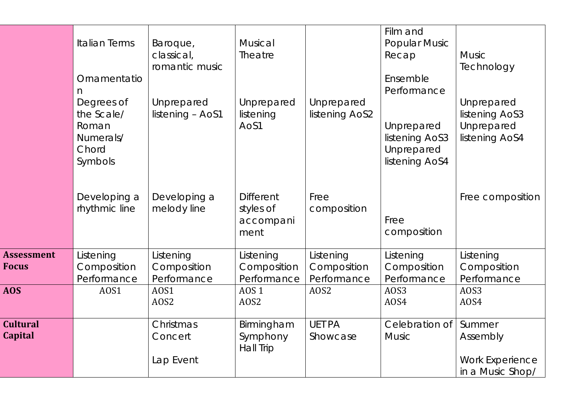|                                   | <b>Italian Terms</b><br>Ornamentatio<br>n<br>Degrees of<br>the Scale/<br>Roman<br>Numerals/<br>Chord<br>Symbols | Baroque,<br>classical,<br>romantic music<br>Unprepared<br>listening - AoS1 | Musical<br>Theatre<br>Unprepared<br>listening<br>AoS1 | Unprepared<br>listening AoS2            | Film and<br><b>Popular Music</b><br>Recap<br>Ensemble<br>Performance<br>Unprepared<br>listening AoS3<br>Unprepared<br>listening AoS4 | <b>Music</b><br>Technology<br>Unprepared<br>listening AoS3<br>Unprepared<br>listening AoS4 |
|-----------------------------------|-----------------------------------------------------------------------------------------------------------------|----------------------------------------------------------------------------|-------------------------------------------------------|-----------------------------------------|--------------------------------------------------------------------------------------------------------------------------------------|--------------------------------------------------------------------------------------------|
|                                   | Developing a<br>rhythmic line                                                                                   | Developing a<br>melody line                                                | <b>Different</b><br>styles of<br>accompani<br>ment    | Free<br>composition                     | Free<br>composition                                                                                                                  | Free composition                                                                           |
| <b>Assessment</b><br><b>Focus</b> | Listening<br>Composition<br>Performance                                                                         | Listening<br>Composition<br>Performance                                    | Listening<br>Composition<br>Performance               | Listening<br>Composition<br>Performance | Listening<br>Composition<br>Performance                                                                                              | Listening<br>Composition<br>Performance                                                    |
| <b>AOS</b>                        | AOS1                                                                                                            | AOS1<br>AOS2                                                               | <b>AOS 1</b><br>AOS <sub>2</sub>                      | AOS2                                    | AOS3<br>AOS4                                                                                                                         | AOS3<br>AOS4                                                                               |
| <b>Cultural</b><br><b>Capital</b> |                                                                                                                 | Christmas<br>Concert<br>Lap Event                                          | Birmingham<br>Symphony<br>Hall Trip                   | <b>UET PA</b><br>Showcase               | Celebration of<br><b>Music</b>                                                                                                       | Summer<br>Assembly<br><b>Work Experience</b><br>in a Music Shop/                           |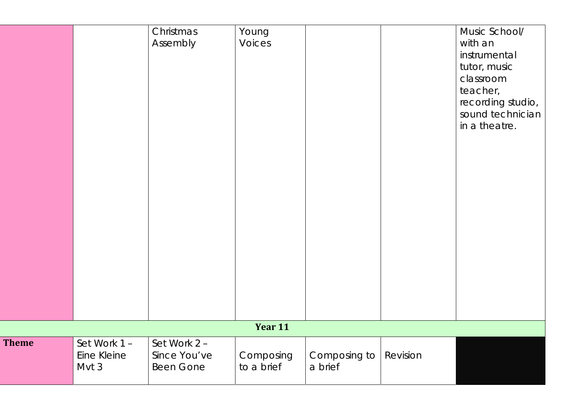|              |                                     | Christmas<br>Assembly                     | Young<br><b>Voices</b>  |                         |          | Music School/<br>with an<br>instrumental<br>tutor, music<br>classroom<br>teacher,<br>recording studio,<br>sound technician<br>in a theatre. |
|--------------|-------------------------------------|-------------------------------------------|-------------------------|-------------------------|----------|---------------------------------------------------------------------------------------------------------------------------------------------|
|              |                                     |                                           |                         |                         |          |                                                                                                                                             |
|              |                                     |                                           | Year 11                 |                         |          |                                                                                                                                             |
| <b>Theme</b> | Set Work 1-<br>Eine Kleine<br>Mvt 3 | Set Work 2 -<br>Since You've<br>Been Gone | Composing<br>to a brief | Composing to<br>a brief | Revision |                                                                                                                                             |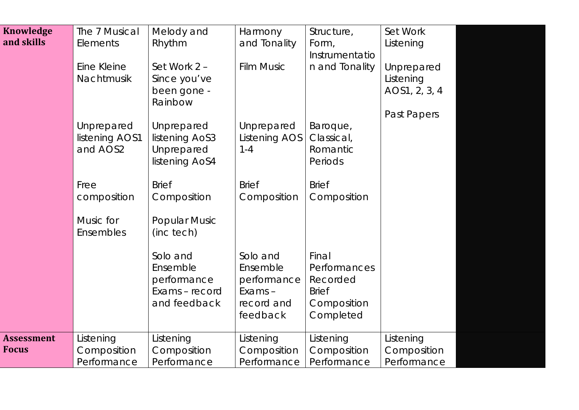| <b>Knowledge</b><br>and skills    | The 7 Musical<br>Elements<br>Eine Kleine<br>Nachtmusik | Melody and<br>Rhythm<br>Set Work 2 -<br>Since you've<br>been gone -<br>Rainbow | Harmony<br>and Tonality<br><b>Film Music</b>                            | Structure,<br>Form,<br>Instrumentatio<br>n and Tonality                       | Set Work<br>Listening<br>Unprepared<br>Listening<br>AOS1, 2, 3, 4 |  |
|-----------------------------------|--------------------------------------------------------|--------------------------------------------------------------------------------|-------------------------------------------------------------------------|-------------------------------------------------------------------------------|-------------------------------------------------------------------|--|
|                                   | Unprepared<br>listening AOS1<br>and AOS2               | Unprepared<br>listening AoS3<br>Unprepared<br>listening AoS4                   | Unprepared<br><b>Listening AOS</b><br>$1 - 4$                           | Baroque,<br>Classical,<br>Romantic<br>Periods                                 | Past Papers                                                       |  |
|                                   | Free<br>composition<br>Music for<br>Ensembles          | <b>Brief</b><br>Composition<br><b>Popular Music</b><br>(inc tech)              | <b>Brief</b><br>Composition                                             | <b>Brief</b><br>Composition                                                   |                                                                   |  |
|                                   |                                                        | Solo and<br>Ensemble<br>performance<br>Exams - record<br>and feedback          | Solo and<br>Ensemble<br>performance<br>Exams-<br>record and<br>feedback | Final<br>Performances<br>Recorded<br><b>Brief</b><br>Composition<br>Completed |                                                                   |  |
| <b>Assessment</b><br><b>Focus</b> | Listening<br>Composition<br>Performance                | Listening<br>Composition<br>Performance                                        | Listening<br>Composition<br>Performance                                 | Listening<br>Composition<br>Performance                                       | Listening<br>Composition<br>Performance                           |  |